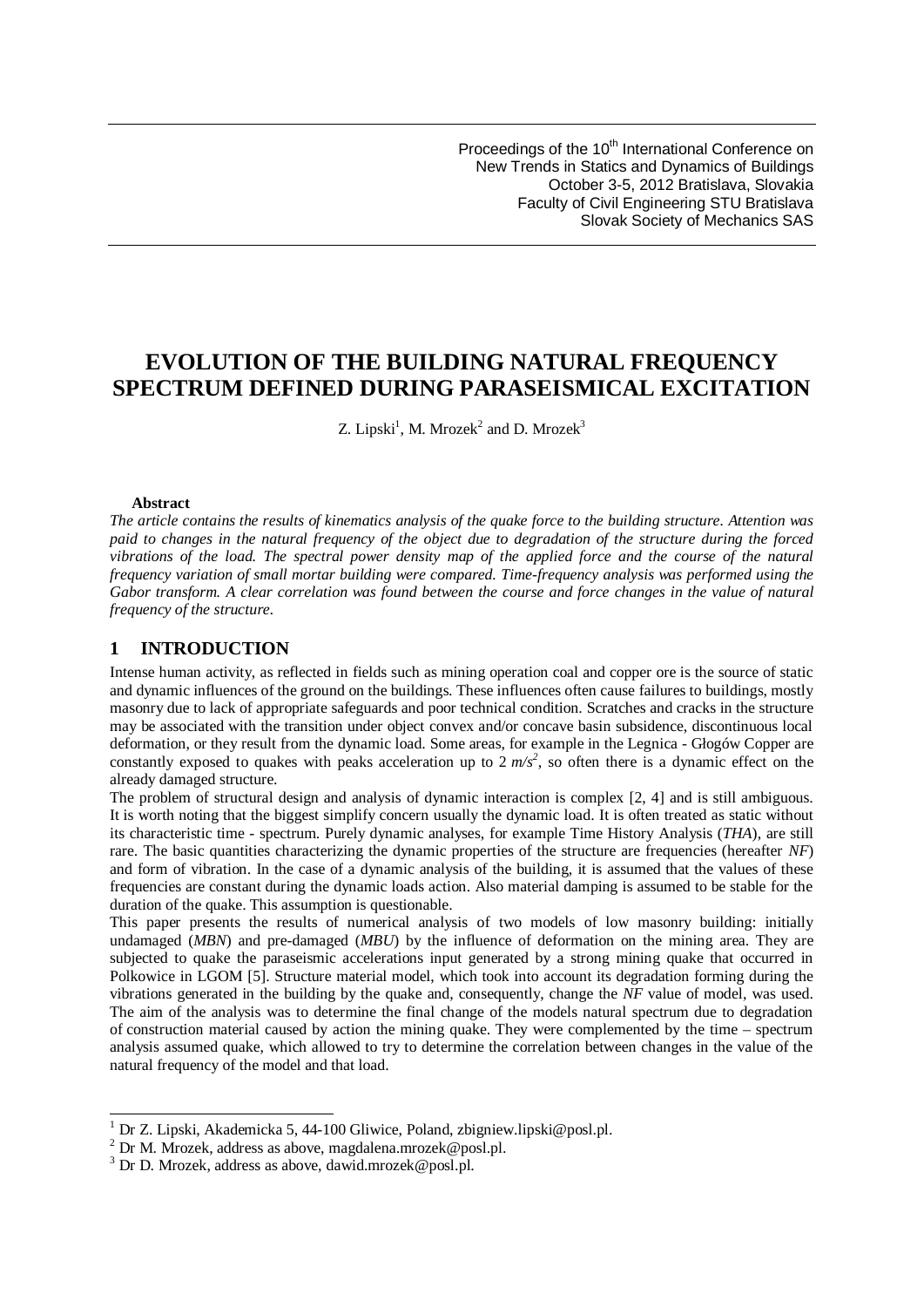Proceedings of the 10<sup>th</sup> International Conference on New Trends in Statics and Dynamics of Buildings October 3-5, 2012 Bratislava, Slovakia Faculty of Civil Engineering STU Bratislava Slovak Society of Mechanics SAS

# **EVOLUTION OF THE BUILDING NATURAL FREQUENCY SPECTRUM DEFINED DURING PARASEISMICAL EXCITATION**

Z. [Lipski](#page-0-0)<sup>1</sup>, M. [Mrozek](#page-0-2)<sup>2</sup> and D. Mrozek<sup>3</sup>

#### **Abstract**

*The article contains the results of kinematics analysis of the quake force to the building structure. Attention was paid to changes in the natural frequency of the object due to degradation of the structure during the forced vibrations of the load. The spectral power density map of the applied force and the course of the natural frequency variation of small mortar building were compared. Time-frequency analysis was performed using the Gabor transform. A clear correlation was found between the course and force changes in the value of natural frequency of the structure.*

## **1 INTRODUCTION**

Intense human activity, as reflected in fields such as mining operation coal and copper ore is the source of static and dynamic influences of the ground on the buildings. These influences often cause failures to buildings, mostly masonry due to lack of appropriate safeguards and poor technical condition. Scratches and cracks in the structure may be associated with the transition under object convex and/or concave basin subsidence, discontinuous local deformation, or they result from the dynamic load. Some areas, for example in the Legnica - Głogów Copper are constantly exposed to quakes with peaks acceleration up to  $2 m/s^2$ , so often there is a dynamic effect on the already damaged structure.

The problem of structural design and analysis of dynamic interaction is complex [2, 4] and is still ambiguous. It is worth noting that the biggest simplify concern usually the dynamic load. It is often treated as static without its characteristic time - spectrum. Purely dynamic analyses, for example Time History Analysis (*THA*), are still rare. The basic quantities characterizing the dynamic properties of the structure are frequencies (hereafter *NF*) and form of vibration. In the case of a dynamic analysis of the building, it is assumed that the values of these frequencies are constant during the dynamic loads action. Also material damping is assumed to be stable for the duration of the quake. This assumption is questionable.

This paper presents the results of numerical analysis of two models of low masonry building: initially undamaged (*MBN*) and pre-damaged (*MBU*) by the influence of deformation on the mining area. They are subjected to quake the paraseismic accelerations input generated by a strong mining quake that occurred in Polkowice in LGOM [5]. Structure material model, which took into account its degradation forming during the vibrations generated in the building by the quake and, consequently, change the *NF* value of model, was used. The aim of the analysis was to determine the final change of the models natural spectrum due to degradation of construction material caused by action the mining quake. They were complemented by the time – spectrum analysis assumed quake, which allowed to try to determine the correlation between changes in the value of the natural frequency of the model and that load.

<span id="page-0-0"></span><sup>&</sup>lt;sup>1</sup> Dr Z. Lipski, Akademicka 5, 44-100 Gliwice, Poland, zbigniew.lipski@posl.pl.

<span id="page-0-1"></span> $^{2}$  Dr M. Mrozek, address as above, magdalena.mrozek@posl.pl.

<span id="page-0-2"></span><sup>3</sup> Dr D. Mrozek, address as above, dawid.mrozek@posl.pl.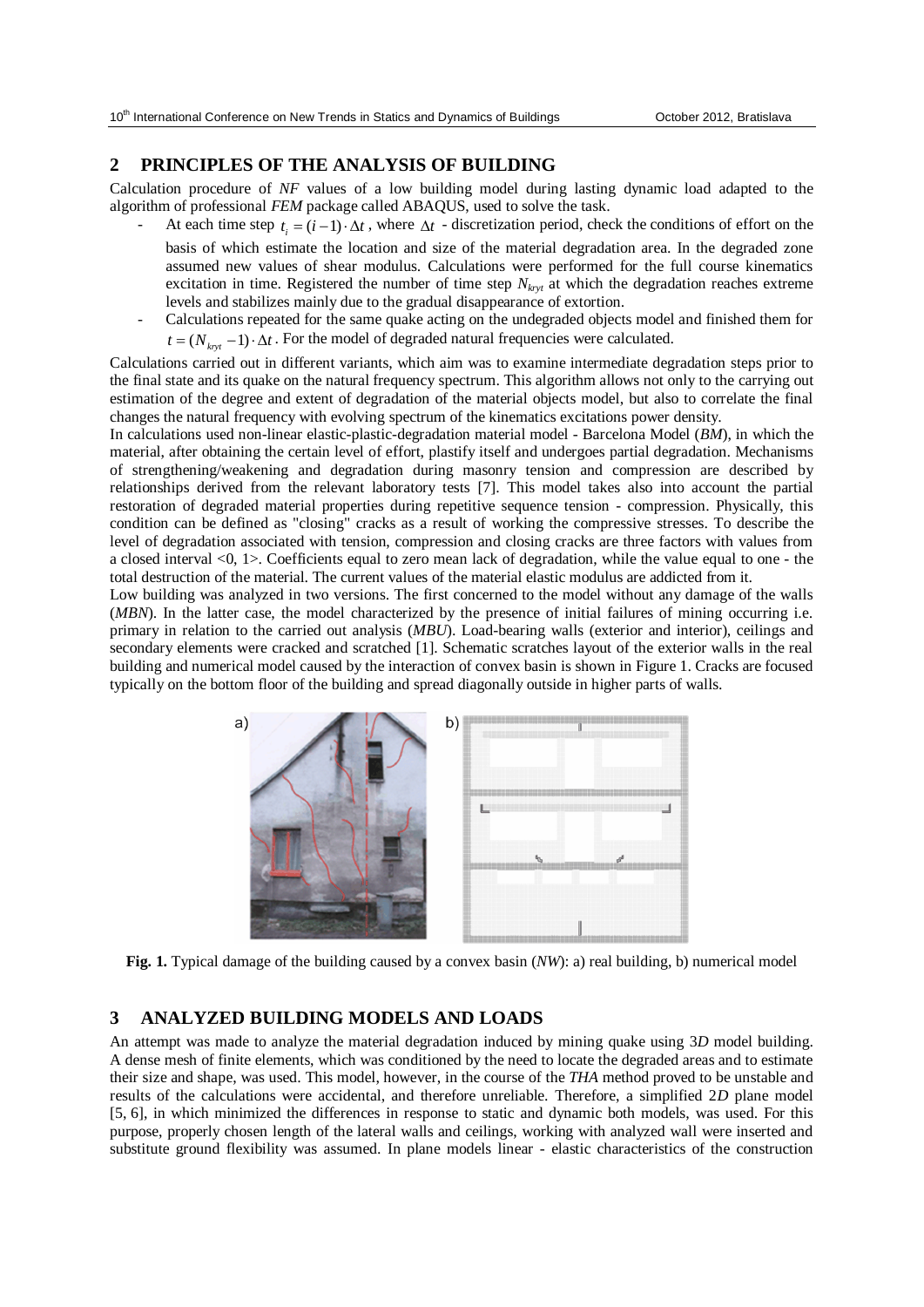## **2 PRINCIPLES OF THE ANALYSIS OF BUILDING**

Calculation procedure of *NF* values of a low building model during lasting dynamic load adapted to the algorithm of professional *FEM* package called ABAQUS, used to solve the task.

- At each time step  $t_i = (i-1) \cdot \Delta t$ , where  $\Delta t$  discretization period, check the conditions of effort on the basis of which estimate the location and size of the material degradation area. In the degraded zone assumed new values of shear modulus. Calculations were performed for the full course kinematics excitation in time. Registered the number of time step  $N_{krvt}$  at which the degradation reaches extreme levels and stabilizes mainly due to the gradual disappearance of extortion.
- Calculations repeated for the same quake acting on the undegraded objects model and finished them for  $t = (N<sub>kvt</sub> - 1) \cdot \Delta t$ . For the model of degraded natural frequencies were calculated.

Calculations carried out in different variants, which aim was to examine intermediate degradation steps prior to the final state and its quake on the natural frequency spectrum. This algorithm allows not only to the carrying out estimation of the degree and extent of degradation of the material objects model, but also to correlate the final changes the natural frequency with evolving spectrum of the kinematics excitations power density.

In calculations used non-linear elastic-plastic-degradation material model - Barcelona Model (*BM*), in which the material, after obtaining the certain level of effort, plastify itself and undergoes partial degradation. Mechanisms of strengthening/weakening and degradation during masonry tension and compression are described by relationships derived from the relevant laboratory tests [7]. This model takes also into account the partial restoration of degraded material properties during repetitive sequence tension - compression. Physically, this condition can be defined as "closing" cracks as a result of working the compressive stresses. To describe the level of degradation associated with tension, compression and closing cracks are three factors with values from a closed interval <0, 1>. Coefficients equal to zero mean lack of degradation, while the value equal to one - the total destruction of the material. The current values of the material elastic modulus are addicted from it.

Low building was analyzed in two versions. The first concerned to the model without any damage of the walls (*MBN*). In the latter case, the model characterized by the presence of initial failures of mining occurring i.e. primary in relation to the carried out analysis (*MBU*). Load-bearing walls (exterior and interior), ceilings and secondary elements were cracked and scratched [1]. Schematic scratches layout of the exterior walls in the real building and numerical model caused by the interaction of convex basin is shown in Figure 1. Cracks are focused typically on the bottom floor of the building and spread diagonally outside in higher parts of walls.



**Fig. 1.** Typical damage of the building caused by a convex basin (*NW*): a) real building, b) numerical model

# **3 ANALYZED BUILDING MODELS AND LOADS**

An attempt was made to analyze the material degradation induced by mining quake using 3*D* model building. A dense mesh of finite elements, which was conditioned by the need to locate the degraded areas and to estimate their size and shape, was used. This model, however, in the course of the *THA* method proved to be unstable and results of the calculations were accidental, and therefore unreliable. Therefore, a simplified 2*D* plane model [5, 6], in which minimized the differences in response to static and dynamic both models, was used. For this purpose, properly chosen length of the lateral walls and ceilings, working with analyzed wall were inserted and substitute ground flexibility was assumed. In plane models linear - elastic characteristics of the construction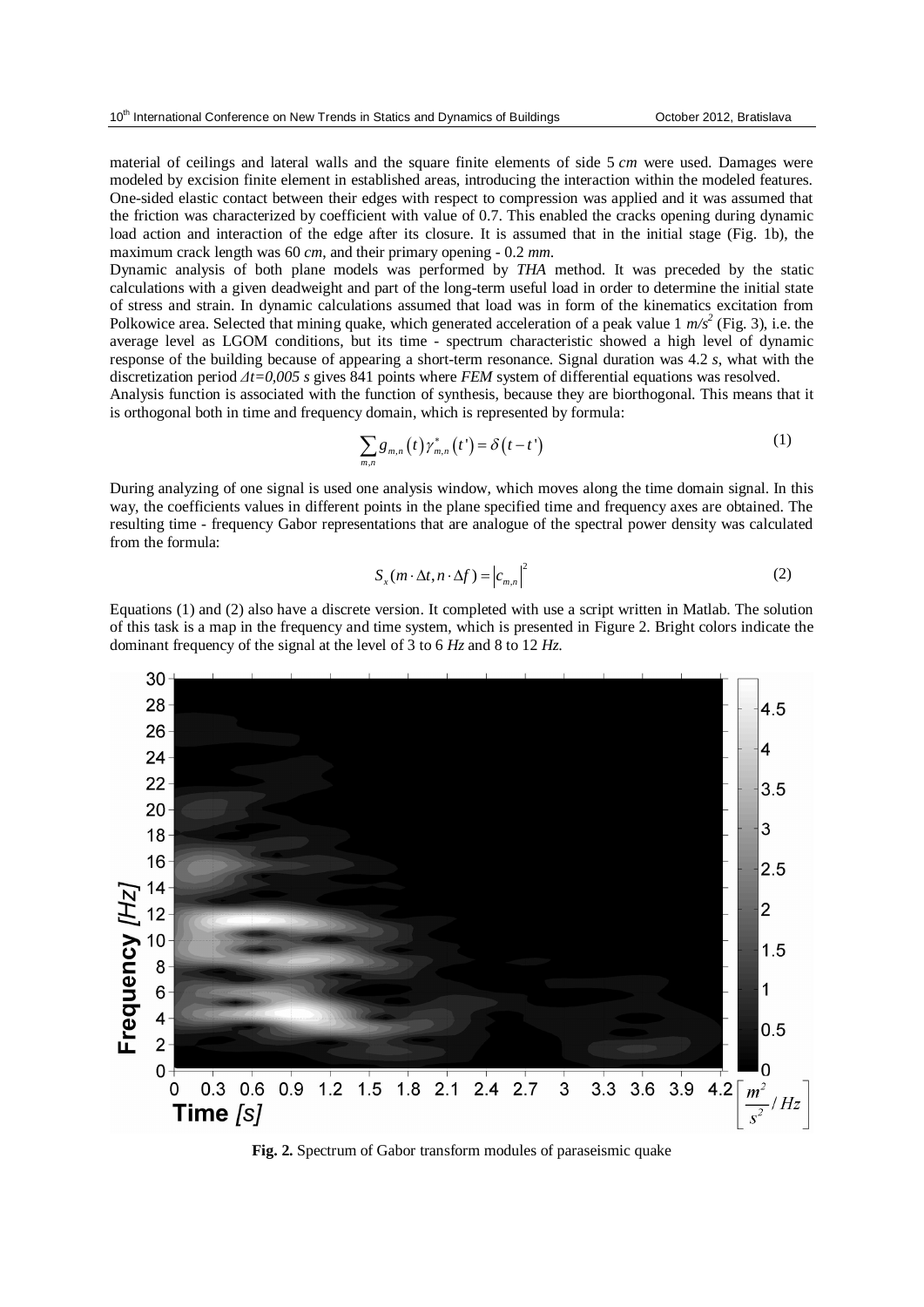material of ceilings and lateral walls and the square finite elements of side 5 *cm* were used. Damages were modeled by excision finite element in established areas, introducing the interaction within the modeled features. One-sided elastic contact between their edges with respect to compression was applied and it was assumed that the friction was characterized by coefficient with value of 0.7. This enabled the cracks opening during dynamic load action and interaction of the edge after its closure. It is assumed that in the initial stage (Fig. 1b), the maximum crack length was 60 *cm*, and their primary opening - 0.2 *mm*.

Dynamic analysis of both plane models was performed by *THA* method. It was preceded by the static calculations with a given deadweight and part of the long-term useful load in order to determine the initial state of stress and strain. In dynamic calculations assumed that load was in form of the kinematics excitation from Polkowice area. Selected that mining quake, which generated acceleration of a peak value 1  $m/s^2$  (Fig. 3), i.e. the average level as LGOM conditions, but its time - spectrum characteristic showed a high level of dynamic response of the building because of appearing a short-term resonance. Signal duration was 4.2 *s*, what with the discretization period *Δt=0,005 s* gives 841 points where *FEM* system of differential equations was resolved.

Analysis function is associated with the function of synthesis, because they are biorthogonal. This means that it is orthogonal both in time and frequency domain, which is represented by formula:

$$
\sum_{m,n} g_{m,n}(t) \gamma_{m,n}^*(t') = \delta(t-t')
$$
\n(1)

During analyzing of one signal is used one analysis window, which moves along the time domain signal. In this way, the coefficients values in different points in the plane specified time and frequency axes are obtained. The resulting time - frequency Gabor representations that are analogue of the spectral power density was calculated from the formula:

$$
S_x(m \cdot \Delta t, n \cdot \Delta f) = |c_{m,n}|^2
$$
 (2)

Equations (1) and (2) also have a discrete version. It completed with use a script written in Matlab. The solution of this task is a map in the frequency and time system, which is presented in Figure 2. Bright colors indicate the dominant frequency of the signal at the level of 3 to 6 *Hz* and 8 to 12 *Hz*.



**Fig. 2.** Spectrum of Gabor transform modules of paraseismic quake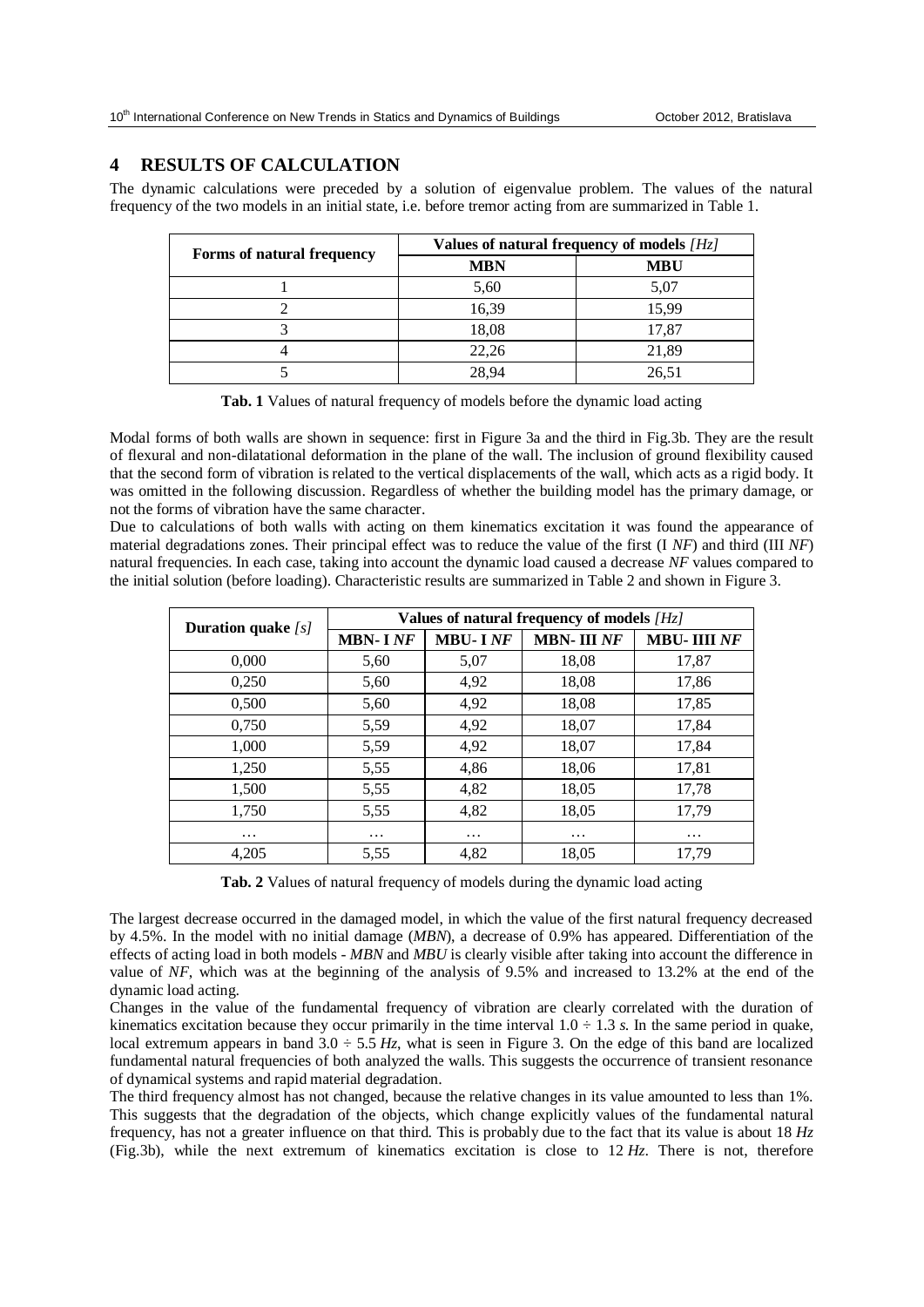## **4 RESULTS OF CALCULATION**

The dynamic calculations were preceded by a solution of eigenvalue problem. The values of the natural frequency of the two models in an initial state, i.e. before tremor acting from are summarized in Table 1.

| Forms of natural frequency | Values of natural frequency of models $Hz$ |            |  |
|----------------------------|--------------------------------------------|------------|--|
|                            | <b>MBN</b>                                 | <b>MBU</b> |  |
|                            | 5,60                                       | 5,07       |  |
|                            | 16,39                                      | 15,99      |  |
|                            | 18,08                                      | 17,87      |  |
|                            | 22,26                                      | 21,89      |  |
|                            | 28.94                                      | 26,51      |  |

**Tab. 1** Values of natural frequency of models before the dynamic load acting

Modal forms of both walls are shown in sequence: first in Figure 3a and the third in Fig.3b. They are the result of flexural and non-dilatational deformation in the plane of the wall. The inclusion of ground flexibility caused that the second form of vibration is related to the vertical displacements of the wall, which acts as a rigid body. It was omitted in the following discussion. Regardless of whether the building model has the primary damage, or not the forms of vibration have the same character.

Due to calculations of both walls with acting on them kinematics excitation it was found the appearance of material degradations zones. Their principal effect was to reduce the value of the first (I *NF*) and third (III *NF*) natural frequencies. In each case, taking into account the dynamic load caused a decrease *NF* values compared to the initial solution (before loading). Characteristic results are summarized in Table 2 and shown in Figure 3.

| <b>Duration quake</b> $[s]$ | Values of natural frequency of models $[Hz]$ |                |                   |                    |
|-----------------------------|----------------------------------------------|----------------|-------------------|--------------------|
|                             | <b>MBN-INF</b>                               | <b>MBU-INF</b> | <b>MBN-III NF</b> | <b>MBU-IIII NF</b> |
| 0,000                       | 5,60                                         | 5,07           | 18,08             | 17,87              |
| 0,250                       | 5,60                                         | 4,92           | 18,08             | 17,86              |
| 0,500                       | 5,60                                         | 4,92           | 18,08             | 17,85              |
| 0,750                       | 5,59                                         | 4,92           | 18,07             | 17,84              |
| 1,000                       | 5,59                                         | 4,92           | 18,07             | 17,84              |
| 1,250                       | 5,55                                         | 4,86           | 18,06             | 17,81              |
| 1,500                       | 5,55                                         | 4,82           | 18,05             | 17,78              |
| 1,750                       | 5,55                                         | 4,82           | 18,05             | 17,79              |
| $\cdots$                    | $\cdots$                                     | .              | $\cdots$          | $\cdots$           |
| 4,205                       | 5,55                                         | 4,82           | 18,05             | 17,79              |

**Tab. 2** Values of natural frequency of models during the dynamic load acting

The largest decrease occurred in the damaged model, in which the value of the first natural frequency decreased by 4.5%. In the model with no initial damage (*MBN*), a decrease of 0.9% has appeared. Differentiation of the effects of acting load in both models - *MBN* and *MBU* is clearly visible after taking into account the difference in value of *NF*, which was at the beginning of the analysis of 9.5% and increased to 13.2% at the end of the dynamic load acting.

Changes in the value of the fundamental frequency of vibration are clearly correlated with the duration of kinematics excitation because they occur primarily in the time interval  $1.0 \div 1.3$  *s*. In the same period in quake, local extremum appears in band  $3.0 \div 5.5$  *Hz*, what is seen in Figure 3. On the edge of this band are localized fundamental natural frequencies of both analyzed the walls. This suggests the occurrence of transient resonance of dynamical systems and rapid material degradation.

The third frequency almost has not changed, because the relative changes in its value amounted to less than 1%. This suggests that the degradation of the objects, which change explicitly values of the fundamental natural frequency, has not a greater influence on that third. This is probably due to the fact that its value is about 18 *Hz* (Fig.3b), while the next extremum of kinematics excitation is close to 12 *Hz*. There is not, therefore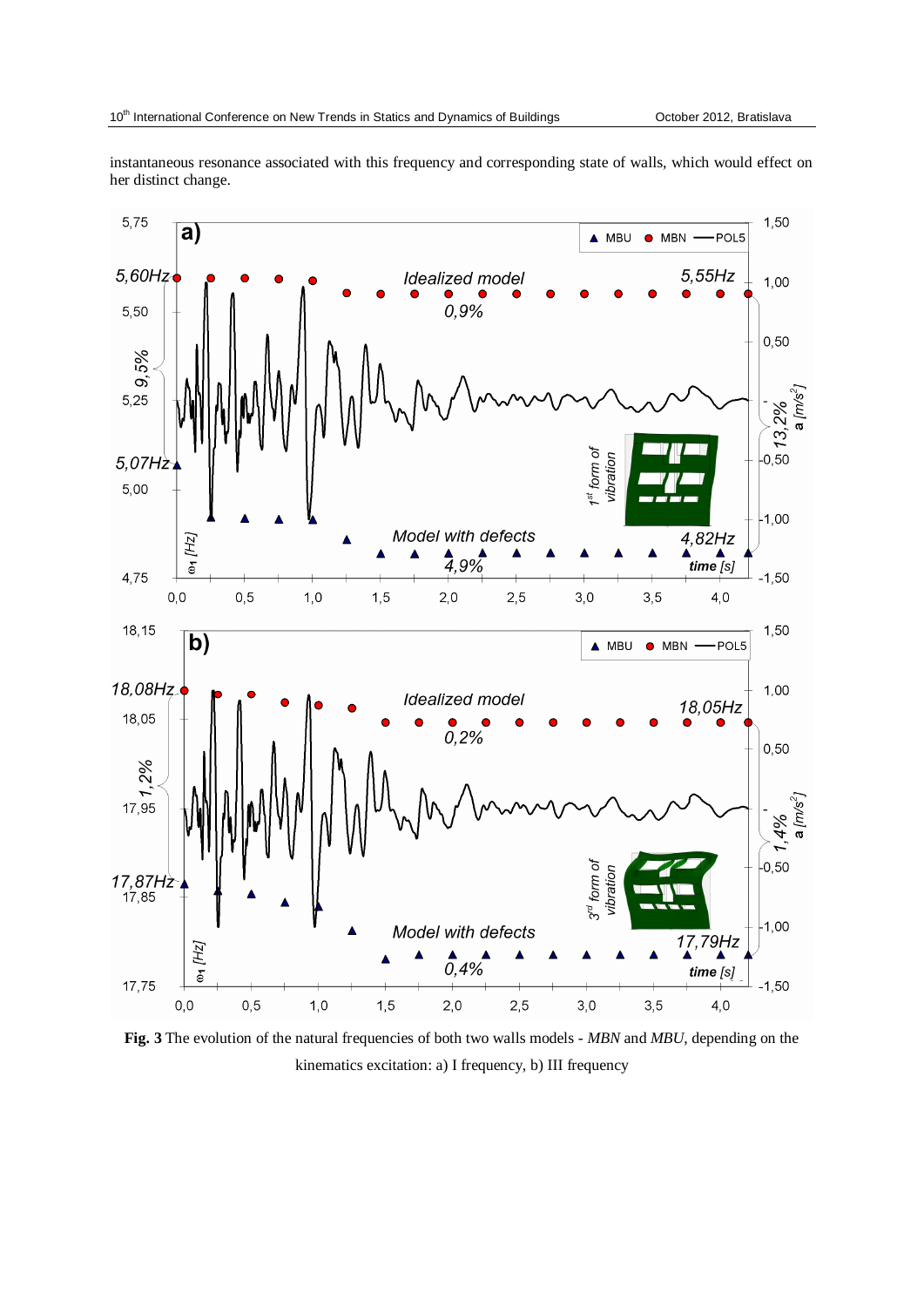instantaneous resonance associated with this frequency and corresponding state of walls, which would effect on her distinct change.



**Fig. 3** The evolution of the natural frequencies of both two walls models - *MBN* and *MBU*, depending on the kinematics excitation: a) I frequency, b) III frequency